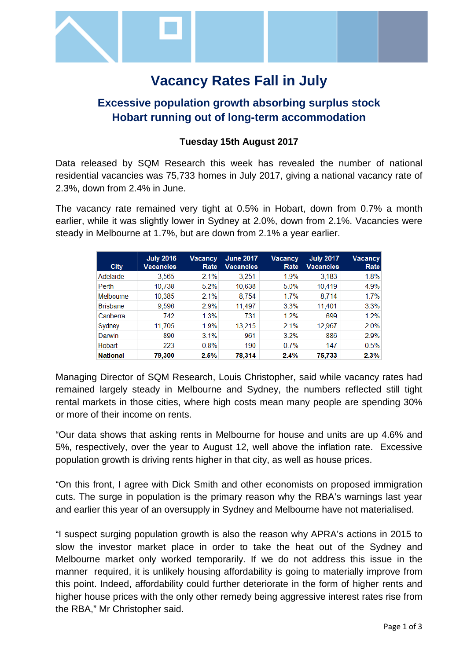

# **Vacancy Rates Fall in July**

# **Excessive population growth absorbing surplus stock Hobart running out of long-term accommodation**

# **Tuesday 15th August 2017**

Data released by SQM Research this week has revealed the number of national residential vacancies was 75,733 homes in July 2017, giving a national vacancy rate of 2.3%, down from 2.4% in June.

The vacancy rate remained very tight at 0.5% in Hobart, down from 0.7% a month earlier, while it was slightly lower in Sydney at 2.0%, down from 2.1%. Vacancies were steady in Melbourne at 1.7%, but are down from 2.1% a year earlier.

| <b>City</b>      | <b>July 2016</b><br>Vacancies | Vacancy<br>Rate | <b>June 2017</b><br><b>Vacancies</b> | Vacancy<br>Rate | <b>July 2017</b><br><b>Vacancies</b> | <b>Vacancy</b><br>Rate |
|------------------|-------------------------------|-----------------|--------------------------------------|-----------------|--------------------------------------|------------------------|
| Adelaide         | 3,565                         | 2.1%            | 3,251                                | 1.9%            | 3,183                                | 1.8%                   |
| Perth            | 10.738                        | 5.2%            | 10.638                               | 5.0%            | 10.419                               | 4.9%                   |
| <b>Melbourne</b> | 10,385                        | 2.1%            | 8.754                                | 1.7%            | 8.714                                | 1.7%                   |
| <b>Brisbane</b>  | 9.596                         | 2.9%            | 11,497                               | 3.3%            | 11,401                               | 3.3%                   |
| Canberra         | 742                           | 1.3%            | 731                                  | 1.2%            | 699                                  | 1.2%                   |
| Sydney           | 11.705                        | 1.9%            | 13.215                               | 2.1%            | 12,967                               | 2.0%                   |
| Darwin           | 890                           | 3.1%            | 961                                  | 3.2%            | 886                                  | 2.9%                   |
| Hobart           | 223                           | 0.8%            | 190                                  | 0.7%            | 147                                  | 0.5%                   |
| <b>National</b>  | 79,300                        | 2.5%            | 78,314                               | 2.4%            | 75,733                               | 2.3%                   |

Managing Director of SQM Research, Louis Christopher, said while vacancy rates had remained largely steady in Melbourne and Sydney, the numbers reflected still tight rental markets in those cities, where high costs mean many people are spending 30% or more of their income on rents.

"Our data shows that asking rents in Melbourne for house and units are up 4.6% and 5%, respectively, over the year to August 12, well above the inflation rate. Excessive population growth is driving rents higher in that city, as well as house prices.

"On this front, I agree with Dick Smith and other economists on proposed immigration cuts. The surge in population is the primary reason why the RBA's warnings last year and earlier this year of an oversupply in Sydney and Melbourne have not materialised.

"I suspect surging population growth is also the reason why APRA's actions in 2015 to slow the investor market place in order to take the heat out of the Sydney and Melbourne market only worked temporarily. If we do not address this issue in the manner required, it is unlikely housing affordability is going to materially improve from this point. Indeed, affordability could further deteriorate in the form of higher rents and higher house prices with the only other remedy being aggressive interest rates rise from the RBA," Mr Christopher said.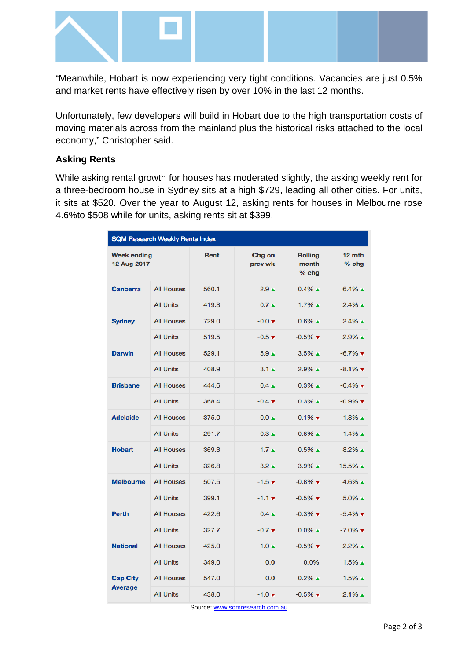

"Meanwhile, Hobart is now experiencing very tight conditions. Vacancies are just 0.5% and market rents have effectively risen by over 10% in the last 12 months.

Unfortunately, few developers will build in Hobart due to the high transportation costs of moving materials across from the mainland plus the historical risks attached to the local economy," Christopher said.

### **Asking Rents**

While asking rental growth for houses has moderated slightly, the asking weekly rent for a three-bedroom house in Sydney sits at a high \$729, leading all other cities. For units, it sits at \$520. Over the year to August 12, asking rents for houses in Melbourne rose 4.6%to \$508 while for units, asking rents sit at \$399.

| <b>SQM Research Weekly Rents Index</b> |                   |       |                             |                                    |                               |  |  |  |
|----------------------------------------|-------------------|-------|-----------------------------|------------------------------------|-------------------------------|--|--|--|
| <b>Week ending</b><br>12 Aug 2017      |                   | Rent  | Chg on<br>prev wk           | <b>Rolling</b><br>month<br>$%$ chg | 12 mth<br>$%$ chg             |  |  |  |
| <b>Canberra</b>                        | <b>All Houses</b> | 560.1 | 2.9 <sub>A</sub>            | $0.4\%$ $\triangle$                | $6.4\%$ $\triangle$           |  |  |  |
|                                        | <b>All Units</b>  | 419.3 | $0.7 \triangle$             | $1.7\%$ $\triangle$                | $2.4\%$ $\triangle$           |  |  |  |
| <b>Sydney</b>                          | <b>All Houses</b> | 729.0 | $-0.0 \times$               | $0.6\%$ $\triangle$                | $2.4\%$ $\triangle$           |  |  |  |
|                                        | <b>All Units</b>  | 519.5 | $-0.5 \; \text{v}$          | $-0.5\%$ $\blacktriangledown$      | $2.9\%$ $\triangle$           |  |  |  |
| <b>Darwin</b>                          | <b>All Houses</b> | 529.1 | 5.9 <sub>A</sub>            | $3.5\%$ $\triangle$                | $-6.7\%$ $\blacktriangledown$ |  |  |  |
|                                        | <b>All Units</b>  | 408.9 | $3.1 \triangle$             | $2.9\%$ $\triangle$                | $-8.1\%$ $\blacktriangledown$ |  |  |  |
| <b>Brisbane</b>                        | <b>All Houses</b> | 444.6 | $0.4 \triangle$             | $0.3\%$ $\triangle$                | $-0.4\%$ $\blacktriangledown$ |  |  |  |
|                                        | <b>All Units</b>  | 368.4 | $-0.4 \; \text{v}$          | $0.3\%$ $\triangle$                | $-0.9\%$ $\blacktriangledown$ |  |  |  |
| <b>Adelaide</b>                        | <b>All Houses</b> | 375.0 | $0.0 \triangle$             | $-0.1\%$ $\blacktriangledown$      | $1.8\%$ $\triangle$           |  |  |  |
|                                        | <b>All Units</b>  | 291.7 | $0.3 \triangle$             | $0.8\%$ $\triangle$                | $1.4\%$ $\triangle$           |  |  |  |
| <b>Hobart</b>                          | <b>All Houses</b> | 369.3 | 1.7 <sub>A</sub>            | $0.5\%$ $\triangle$                | $8.2\%$ $\triangle$           |  |  |  |
|                                        | <b>All Units</b>  | 326.8 | $3.2 \triangle$             | $3.9\%$ $\triangle$                | 15.5% ▲                       |  |  |  |
| <b>Melbourne</b>                       | <b>All Houses</b> | 507.5 | $-1.5$ $\blacktriangledown$ | $-0.8\%$ $\blacktriangledown$      | $4.6\%$ $\triangle$           |  |  |  |
|                                        | <b>All Units</b>  | 399.1 | $-1.1$ $\tau$               | $-0.5\%$ $\blacktriangledown$      | $5.0\%$ $\triangle$           |  |  |  |
| <b>Perth</b>                           | <b>All Houses</b> | 422.6 | $0.4 \triangle$             | $-0.3\%$ $\blacktriangledown$      | $-5.4\%$ $\blacktriangledown$ |  |  |  |
|                                        | <b>All Units</b>  | 327.7 | $-0.7$ $\blacktriangledown$ | $0.0\%$ $\triangle$                | $-7.0\%$ $\blacktriangledown$ |  |  |  |
| <b>National</b>                        | <b>All Houses</b> | 425.0 | $1.0 \triangle$             | $-0.5\%$ $\blacktriangledown$      | $2.2\%$ $\triangle$           |  |  |  |
|                                        | <b>All Units</b>  | 349.0 | 0.0                         | 0.0%                               | $1.5\%$ $\triangle$           |  |  |  |
| <b>Cap City</b><br><b>Average</b>      | <b>All Houses</b> | 547.0 | 0.0                         | $0.2\%$ $\triangle$                | $1.5\%$ $\triangle$           |  |  |  |
|                                        | <b>All Units</b>  | 438.0 | $-1.0 \; \text{v}$          | $-0.5\%$ $\blacktriangledown$      | $2.1\%$ $\triangle$           |  |  |  |

Source[: www.sqmresearch.com.au](http://www.sqmresearch.com.au/)